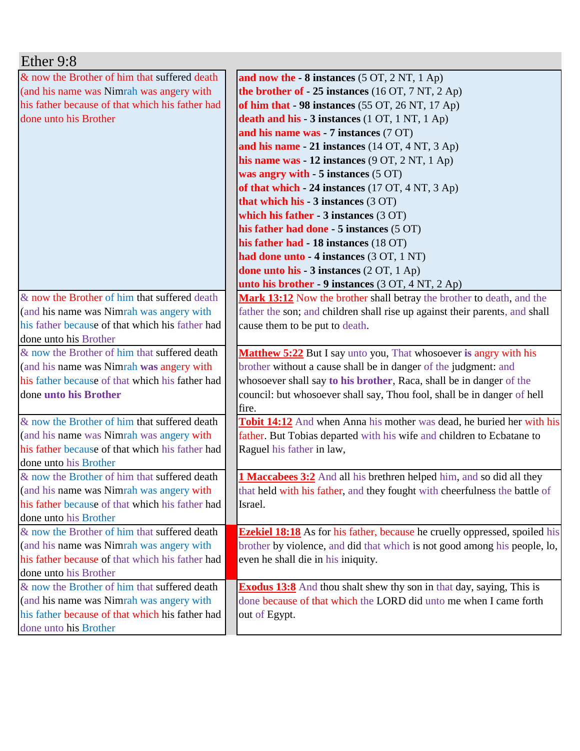| Ether 9:8                                                                |                                                                                                                                                       |
|--------------------------------------------------------------------------|-------------------------------------------------------------------------------------------------------------------------------------------------------|
| & now the Brother of him that suffered death                             | and now the $-8$ instances $(5 OT, 2 NT, 1 Ap)$                                                                                                       |
| (and his name was Nimrah was angery with                                 | the brother of - 25 instances (16 OT, 7 NT, 2 Ap)                                                                                                     |
| his father because of that which his father had                          | of him that - 98 instances (55 OT, 26 NT, 17 Ap)                                                                                                      |
| done unto his Brother                                                    | death and his - 3 instances (1 OT, 1 NT, 1 Ap)                                                                                                        |
|                                                                          | and his name was - 7 instances (7 OT)                                                                                                                 |
|                                                                          | and his name - 21 instances (14 OT, 4 NT, 3 Ap)                                                                                                       |
|                                                                          | his name was $-12$ instances $(9 \text{ OT}, 2 \text{ NT}, 1 \text{ Ap})$                                                                             |
|                                                                          | was angry with - 5 instances (5 OT)                                                                                                                   |
|                                                                          | of that which - 24 instances (17 OT, 4 NT, 3 Ap)                                                                                                      |
|                                                                          | that which his $-3$ instances $(3 OT)$                                                                                                                |
|                                                                          | which his father $-3$ instances $(3 OT)$                                                                                                              |
|                                                                          | his father had done - 5 instances (5 OT)                                                                                                              |
|                                                                          | his father had - 18 instances (18 OT)                                                                                                                 |
|                                                                          | had done unto - 4 instances (3 OT, 1 NT)                                                                                                              |
|                                                                          | done unto his - 3 instances (2 OT, 1 Ap)                                                                                                              |
|                                                                          | unto his brother - 9 instances (3 OT, 4 NT, 2 Ap)                                                                                                     |
| & now the Brother of him that suffered death                             | Mark 13:12 Now the brother shall betray the brother to death, and the                                                                                 |
| (and his name was Nimrah was angery with                                 | father the son; and children shall rise up against their parents, and shall                                                                           |
| his father because of that which his father had                          | cause them to be put to death.                                                                                                                        |
| done unto his Brother                                                    |                                                                                                                                                       |
| & now the Brother of him that suffered death                             |                                                                                                                                                       |
|                                                                          | Matthew 5:22 But I say unto you, That whosoever is angry with his                                                                                     |
| (and his name was Nimrah was angery with                                 | brother without a cause shall be in danger of the judgment: and                                                                                       |
| his father because of that which his father had                          | whosoever shall say to his brother, Raca, shall be in danger of the                                                                                   |
| done unto his Brother                                                    | council: but whosoever shall say, Thou fool, shall be in danger of hell                                                                               |
|                                                                          | fire.                                                                                                                                                 |
| & now the Brother of him that suffered death                             |                                                                                                                                                       |
| (and his name was Nimrah was angery with                                 | <b>Tobit 14:12</b> And when Anna his mother was dead, he buried her with his<br>father. But Tobias departed with his wife and children to Ecbatane to |
| his father because of that which his father had                          | Raguel his father in law,                                                                                                                             |
| done unto his Brother                                                    |                                                                                                                                                       |
| & now the Brother of him that suffered death                             | <b>1 Maccabees 3:2</b> And all his brethren helped him, and so did all they                                                                           |
| (and his name was Nimrah was angery with                                 | that held with his father, and they fought with cheerfulness the battle of                                                                            |
| his father because of that which his father had                          | Israel.                                                                                                                                               |
| done unto his Brother                                                    |                                                                                                                                                       |
| & now the Brother of him that suffered death                             | <b>Ezekiel 18:18</b> As for his father, because he cruelly oppressed, spoiled his                                                                     |
| (and his name was Nimrah was angery with                                 | brother by violence, and did that which is not good among his people, lo,                                                                             |
| his father because of that which his father had                          | even he shall die in his iniquity.                                                                                                                    |
| done unto his Brother                                                    |                                                                                                                                                       |
| & now the Brother of him that suffered death                             | <b>Exodus 13:8</b> And thou shalt shew thy son in that day, saying, This is                                                                           |
| (and his name was Nimrah was angery with                                 | done because of that which the LORD did unto me when I came forth                                                                                     |
| his father because of that which his father had<br>done unto his Brother | out of Egypt.                                                                                                                                         |